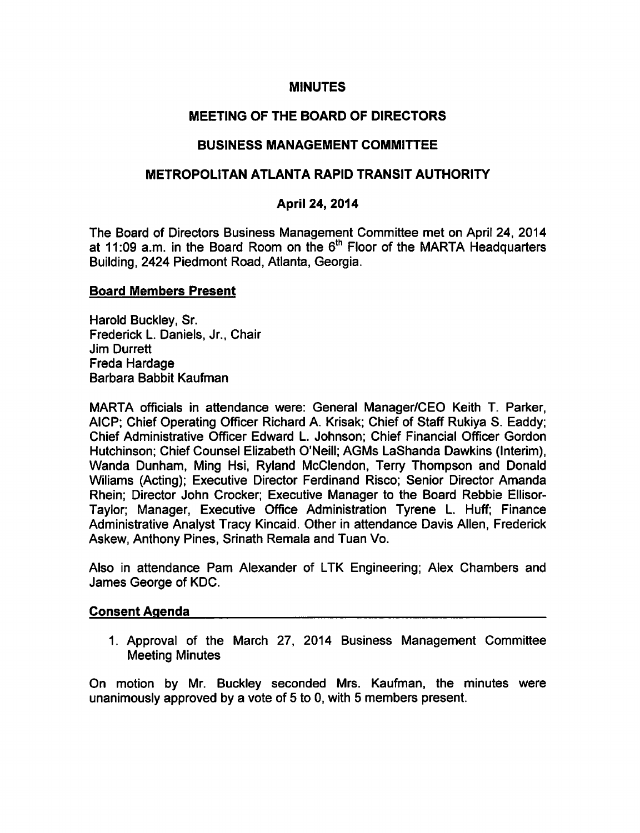### **MINUTES**

## MEETING OF THE BOARD OF DIRECTORS

### BUSINESS MANAGEMENT COMMITTEE

### METROPOLITAN ATLANTA RAPID TRANSIT AUTHORITY

### April 24, 2014

The Board of Directors Business Management Committee met on April 24, 2014 at 11:09 a.m. in the Board Room on the  $6<sup>th</sup>$  Floor of the MARTA Headquarters Building, 2424 Piedmont Road, Atlanta, Georgia.

### Board Members Present

Harold Buckley, Sr. Frederick L. Daniels, Jr., Chair Jim Durrett Freda Hardage Barbara Babbit Kaufman

MARTA officials in attendance were: General Manager/CEO Keith T. Parker, AICP; Chief Operating Officer Richard A. Krisak; Chief of Staff Rukiya S. Eaddy; Chief Administrative Officer Edward L. Johnson; Chief Financial Officer Gordon Hutchinson; Chief Counsel Elizabeth O'Neill; AGMs LaShanda Dawkins (Interim), Wanda Dunham, Ming Hsi, Ryland McClendon, Terry Thompson and Donald Wiliams (Acting); Executive Director Ferdinand Risco; Senior Director Amanda Rhein; Director John Crocker; Executive Manager to the Board Rebbie Ellisor-Taylor; Manager, Executive Office Administration Tyrene L. Huff; Finance Administrative Analyst Tracy Kincaid. Other in attendance Davis Allen, Frederick Askew, Anthony Pines, Srinath Remala and Tuan Vo.

Also in attendance Pam Alexander of LTK Engineering; Alex Chambers and James George of KDC.

#### Consent Agenda

1. Approval of the March 27, 2014 Business Management Committee Meeting Minutes

On motion by Mr. Buckley seconded Mrs. Kaufman, the minutes were unanimously approved by a vote of 5 to 0, with 5 members present.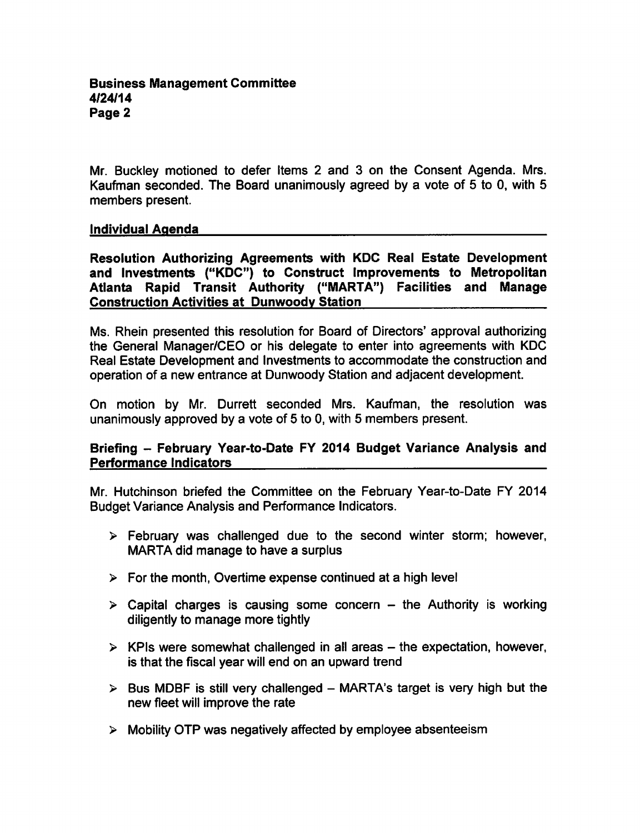Mr. Buckley motioned to defer Items 2 and 3 on the Consent Agenda. Mrs. Kaufman seconded. The Board unanimously agreed by a vote of 5 to 0, with 5 members present.

## Individual Agenda

Resolution Authorizing Agreements with KDC Real Estate Development and Investments ("KDC") to Construct Improvements to Metropolitan Atlanta Rapid Transit Authority ("MARTA") Facilities and Manage Construction Activities at Dunwoodv Station

Ms. Rhein presented this resolution for Board of Directors' approval authorizing the General Manager/CEO or his delegate to enter into agreements with KDC Real Estate Development and Investments to accommodate the construction and operation of a new entrance at Dunwoody Station and adjacent development.

On motion by Mr. Durrett seconded Mrs. Kaufman, the resolution was unanimously approved by a vote of  $5$  to  $0$ , with  $5$  members present.

## Briefing - February Year-to-Date FY 2014 Budget Variance Analysis and Performance Indicators

Mr. Hutchinson briefed the Committee on the February Year-to-Date FY 2014 Budget Variance Analysis and Performance Indicators.

- $\triangleright$  February was challenged due to the second winter storm; however, MARTA did manage to have a surplus
- $\triangleright$  For the month, Overtime expense continued at a high level
- $\triangleright$  Capital charges is causing some concern the Authority is working diligently to manage more tightly
- $\triangleright$  KPIs were somewhat challenged in all areas the expectation, however, is that the fiscal year will end on an upward trend
- $\triangleright$  Bus MDBF is still very challenged MARTA's target is very high but the new fleet will improve the rate
- $\triangleright$  Mobility OTP was negatively affected by employee absenteeism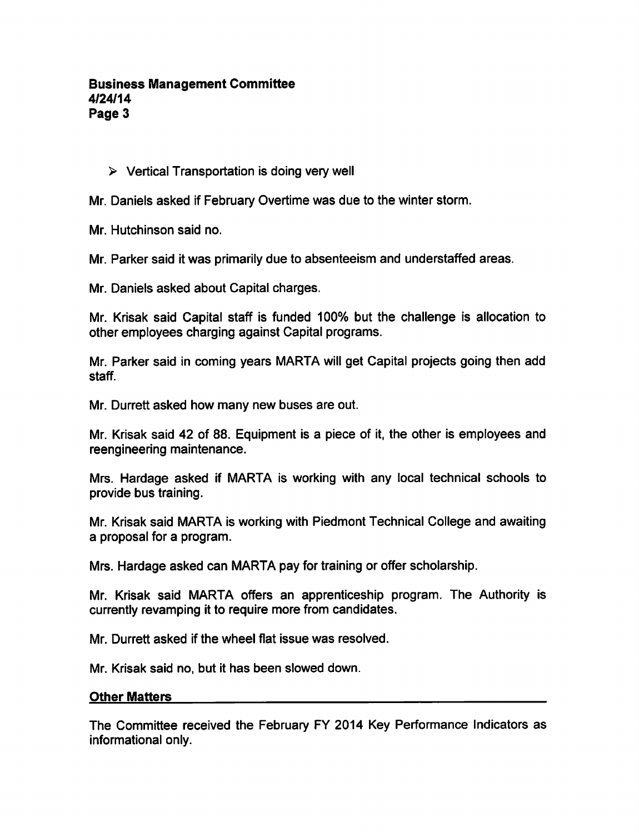# $\triangleright$  Vertical Transportation is doing very well

Mr. Daniels asked if February Overtime was due to the winter storm.

Mr. Hutchinson said no.

Mr. Parker said it was primarily due to absenteeism and understaffed areas.

Mr. Daniels asked about Capital charges.

Mr. Krisak said Capital staff is funded 100% but the challenge is allocation to other employees charging against Capital programs.

Mr. Parker said in coming years MARTA will get Capital projects going then add staff.

Mr. Durrett asked how many new buses are out.

Mr. Krisak said 42 of 88. Equipment is a piece of it, the other is employees and reengineering maintenance.

Mrs. Hardage asked if MARTA is working with any local technical schools to provide bus training.

Mr. Krisak said MARTA is working with Piedmont Technical College and awaiting a proposal for a program.

Mrs. Hardage asked can MARTA pay for training or offer scholarship.

Mr. Krisak said MARTA offers an apprenticeship program. The Authority is currently revamping it to require more from candidates.

Mr. Durrett asked if the wheel flat issue was resolved.

Mr. Krisak said no, but it has been slowed down.

#### Other Matters

The Committee received the February FY 2014 Key Performance Indicators as informational only.